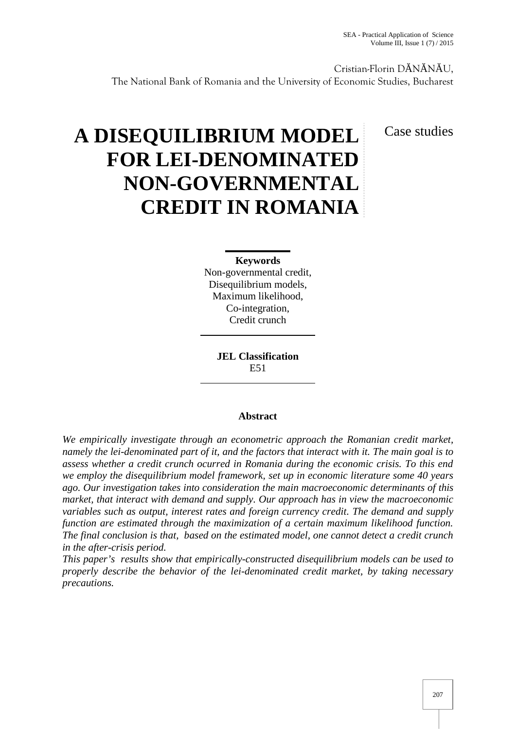Cristian-Florin D N N U, The National Bank of Romania and the University of Economic Studies, Bucharest

# **A DISEQUILIBRIUM MODEL FOR LEI-DENOMINATED NON-GOVERNMENTAL CREDIT IN ROMANIA**

Case studies

**Keywords** Non-governmental credit, Disequilibrium models, Maximum likelihood, Co-integration, Credit crunch

> **JEL Classification** E51

## **Abstract**

*We empirically investigate through an econometric approach the Romanian credit market, namely the lei-denominated part of it, and the factors that interact with it. The main goal is to assess whether a credit crunch ocurred in Romania during the economic crisis. To this end we employ the disequilibrium model framework, set up in economic literature some 40 years ago. Our investigation takes into consideration the main macroeconomic determinants of this market, that interact with demand and supply. Our approach has in view the macroeconomic variables such as output, interest rates and foreign currency credit. The demand and supply function are estimated through the maximization of a certain maximum likelihood function. The final conclusion is that, based on the estimated model, one cannot detect a credit crunch in the after-crisis period.*

*This paper's results show that empirically-constructed disequilibrium models can be used to properly describe the behavior of the lei-denominated credit market, by taking necessary precautions.*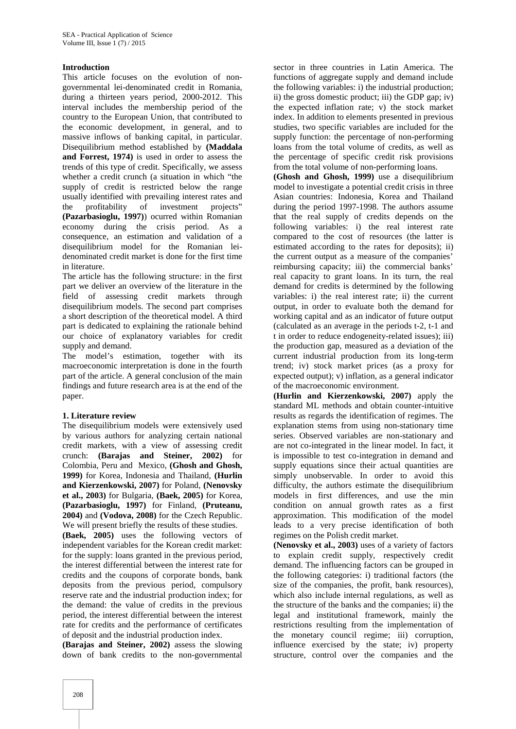### **Introduction**

This article focuses on the evolution of non governmental lei-denominated credit in Romania, during a thirteen years period, 2000-2012. This interval includes the membership period of the country to the European Union, that contributed to the economic development, in general, and to massive inflows of banking capital, in particular. Disequilibrium method established by **(Maddala and Forrest, 1974)** is used in order to assess the trends of this type of credit. Specifically, we assess whether a credit crunch (a situation in which "the supply of credit is restricted below the range usually identified with prevailing interest rates and the profitability of investment projects" **(Pazarbasioglu, 1997)**) ocurred within Romanian economy during the crisis period. As a consequence, an estimation and validation of a disequilibrium model for the Romanian lei denominated credit market is done for the first time in literature.

The article has the following structure: in the first part we deliver an overview of the literature in the field of assessing credit markets through disequilibrium models. The second part comprises a short description of the theoretical model. A third part is dedicated to explaining the rationale behind our choice of explanatory variables for credit supply and demand.

The model's estimation, together with its macroeconomic interpretation is done in the fourth part of the article. A general conclusion of the main findings and future research area is at the end of the paper.

### **1. Literature review**

The disequilibrium models were extensively used by various authors for analyzing certain national credit markets, with a view of assessing credit crunch: **(Barajas and Steiner, 2002)** for Colombia, Peru and Mexico, **(Ghosh and Ghosh, 1999)** for Korea, Indonesia and Thailand, **(Hurlin and Kierzenkowski, 2007)** for Poland, **(Nenovsky et al., 2003)** for Bulgaria, **(Baek, 2005)** for Korea, **(Pazarbasioglu, 1997)** for Finland, **(Pruteanu, 2004)** and **(Vodova, 2008)** for the Czech Republic. We will present briefly the results of these studies.

**(Baek, 2005)** uses the following vectors of independent variables for the Korean credit market: for the supply: loans granted in the previous period, the interest differential between the interest rate for credits and the coupons of corporate bonds, bank deposits from the previous period, compulsory reserve rate and the industrial production index; for the demand: the value of credits in the previous period, the interest differential between the interest rate for credits and the performance of certificates of deposit and the industrial production index.

**(Barajas and Steiner, 2002)** assess the slowing down of bank credits to the non-governmental sector in three countries in Latin America. The functions of aggregate supply and demand include the following variables: i) the industrial production; ii) the gross domestic product; iii) the GDP gap; iv) the expected inflation rate; v) the stock market index. In addition to elements presented in previous studies, two specific variables are included for the supply function: the percentage of non-performing loans from the total volume of credits, as well as the percentage of specific credit risk provisions from the total volume of non-performing loans.

**(Ghosh and Ghosh, 1999)** use a disequilibrium model to investigate a potential credit crisis in three Asian countries: Indonesia, Korea and Thailand during the period 1997-1998. The authors assume that the real supply of credits depends on the following variables: i) the real interest rate compared to the cost of resources (the latter is estimated according to the rates for deposits); ii) the current output as a measure of the companies' reimbursing capacity; iii) the commercial banks' real capacity to grant loans. In its turn, the real demand for credits is determined by the following variables: i) the real interest rate; ii) the current output, in order to evaluate both the demand for working capital and as an indicator of future output (calculated as an average in the periods t-2, t-1 and t in order to reduce endogeneity-related issues); iii) the production gap, measured as a deviation of the current industrial production from its long-term trend; iv) stock market prices (as a proxy for expected output); v) inflation, as a general indicator of the macroeconomic environment.

**(Hurlin and Kierzenkowski, 2007)** apply the standard ML methods and obtain counter-intuitive results as regards the identification of regimes. The explanation stems from using non-stationary time series. Observed variables are non-stationary and are not co-integrated in the linear model. In fact, it is impossible to test co-integration in demand and supply equations since their actual quantities are simply unobservable. In order to avoid this difficulty, the authors estimate the disequilibrium models in first differences, and use the min condition on annual growth rates as a first approximation. This modification of the model leads to a very precise identification of both regimes on the Polish credit market.

**(Nenovsky et al., 2003)** uses of a variety of factors to explain credit supply, respectively credit demand. The influencing factors can be grouped in the following categories: i) traditional factors (the size of the companies, the profit, bank resources), which also include internal regulations, as well as the structure of the banks and the companies; ii) the legal and institutional framework, mainly the restrictions resulting from the implementation of the monetary council regime; iii) corruption, influence exercised by the state; iv) property structure, control over the companies and the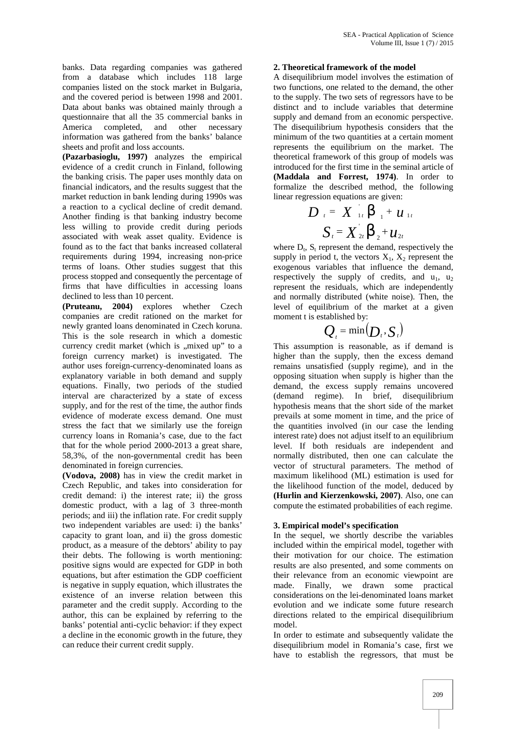banks. Data regarding companies was gathered from a database which includes 118 large companies listed on the stock market in Bulgaria, and the covered period is between 1998 and 2001. Data about banks was obtained mainly through a questionnaire that all the 35 commercial banks in America completed, and other necessary information was gathered from the banks' balance sheets and profit and loss accounts.

**(Pazarbasioglu, 1997)** analyzes the empirical evidence of a credit crunch in Finland, following the banking crisis. The paper uses monthly data on financial indicators, and the results suggest that the market reduction in bank lending during 1990s was a reaction to a cyclical decline of credit demand. Another finding is that banking industry become less willing to provide credit during periods associated with weak asset quality. Evidence is found as to the fact that banks increased collateral requirements during 1994, increasing non-price terms of loans. Other studies suggest that this process stopped and consequently the percentage of firms that have difficulties in accessing loans declined to less than 10 percent.

**(Pruteanu, 2004)** explores whether Czech companies are credit rationed on the market for newly granted loans denominated in Czech koruna. This is the sole research in which a domestic currency credit market (which is "mixed up" to a foreign currency market) is investigated. The author uses foreign-currency-denominated loans as explanatory variable in both demand and supply equations. Finally, two periods of the studied interval are characterized by a state of excess supply, and for the rest of the time, the author finds evidence of moderate excess demand. One must stress the fact that we similarly use the foreign currency loans in Romania's case, due to the fact that for the whole period 2000-2013 a great share, 58,3%, of the non-governmental credit has been denominated in foreign currencies.

**(Vodova, 2008)** has in view the credit market in Czech Republic, and takes into consideration for credit demand: i) the interest rate; ii) the gross domestic product, with a lag of 3 three-month periods; and iii) the inflation rate. For credit supply two independent variables are used: i) the banks' capacity to grant loan, and ii) the gross domestic product, as a measure of the debtors' ability to pay their debts. The following is worth mentioning: positive signs would are expected for GDP in both equations, but after estimation the GDP coefficient is negative in supply equation, which illustrates the existence of an inverse relation between this parameter and the credit supply. According to the author, this can be explained by referring to the banks' potential anti-cyclic behavior: if they expect a decline in the economic growth in the future, they can reduce their current credit supply.

#### **2. Theoretical framework of the model**

A disequilibrium model involves the estimation of two functions, one related to the demand, the other to the supply. The two sets of regressors have to be distinct and to include variables that determine supply and demand from an economic perspective. The disequilibrium hypothesis considers that the minimum of the two quantities at a certain moment represents the equilibrium on the market. The theoretical framework of this group of models was introduced for the first time in the seminal article of **(Maddala and Forrest, 1974)**. In order to formalize the described method, the following linear regression equations are given:

$$
D_{t} = X_{1t}^{T} S_{1} + u_{1t}
$$
  

$$
S_{t} = X_{2t}^{T} S_{2} + u_{2t}
$$

where  $D_t$ ,  $S_t$  represent the demand, respectively the supply in period t, the vectors  $X_1$ ,  $X_2$  represent the exogenous variables that influence the demand, respectively the supply of credits, and  $u_1$ ,  $u_2$ represent the residuals, which are independently and normally distributed (white noise). Then, the level of equilibrium of the market at a given moment t is established by:

$$
Q_{i} = \min(\boldsymbol{D}_{i}, \boldsymbol{S}_{i})
$$

This assumption is reasonable, as if demand is higher than the supply, then the excess demand remains unsatisfied (supply regime), and in the opposing situation when supply is higher than the demand, the excess supply remains uncovered (demand regime). In brief, disequilibrium hypothesis means that the short side of the market prevails at some moment in time, and the price of the quantities involved (in our case the lending interest rate) does not adjust itself to an equilibrium level. If both residuals are independent and normally distributed, then one can calculate the vector of structural parameters. The method of maximum likelihood (ML) estimation is used for the likelihood function of the model, deduced by **(Hurlin and Kierzenkowski, 2007)**. Also, one can compute the estimated probabilities of each regime.

### **3. Empirical model's specification**

In the sequel, we shortly describe the variables included within the empirical model, together with their motivation for our choice. The estimation results are also presented, and some comments on their relevance from an economic viewpoint are made. Finally, we drawn some practical considerations on the lei-denominated loans market evolution and we indicate some future research directions related to the empirical disequilibrium model.

In order to estimate and subsequently validate the disequilibrium model in Romania's case, first we have to establish the regressors, that must be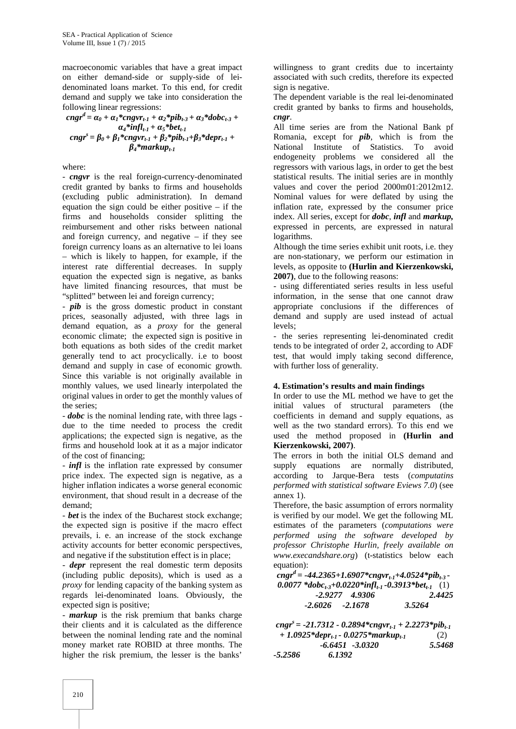macroeconomic variables that have a great impact on either demand-side or supply-side of lei denominated loans market. To this end, for credit demand and supply we take into consideration the following linear regressions:

$$
cngrd = {}_{0} + {}_{1} * cngvrt-1 + {}_{2} * pibt-3 + {}_{3} * dobct-3 + {}_{4} * inflt-1 + {}_{5} * bett-1
$$
  
\n
$$
cngrs = {}_{0} + {}_{1} * cngvrt-1 + {}_{2} * pibt-1 + {}_{3} * deprt-1 + {}_{4} * markupt-1
$$

where:

- *cngvr* is the real foreign-currency-denominated credit granted by banks to firms and households (excluding public administration). In demand equation the sign could be either positive – if the firms and households consider splitting the reimbursement and other risks between national and foreign currency, and negative – if they see foreign currency loans as an alternative to lei loans – which is likely to happen, for example, if the interest rate differential decreases. In supply equation the expected sign is negative, as banks have limited financing resources, that must be "splitted" between lei and foreign currency;

- *pib* is the gross domestic product in constant prices, seasonally adjusted, with three lags in demand equation, as a *proxy* for the general economic climate; the expected sign is positive in both equations as both sides of the credit market generally tend to act procyclically. i.e to boost demand and supply in case of economic growth. Since this variable is not originally available in monthly values, we used linearly interpolated the original values in order to get the monthly values of the series;

- *dobc* is the nominal lending rate, with three lags due to the time needed to process the credit applications; the expected sign is negative, as the firms and household look at it as a major indicator of the cost of financing;

*- infl* is the inflation rate expressed by consumer price index. The expected sign is negative, as a higher inflation indicates a worse general economic environment, that shoud result in a decrease of the demand;

- *bet* is the index of the Bucharest stock exchange; the expected sign is positive if the macro effect prevails, i. e. an increase of the stock exchange activity accounts for better economic perspectives, and negative if the substitution effect is in place;

- *depr* represent the real domestic term deposits (including public deposits), which is used as a *proxy* for lending capacity of the banking system as regards lei-denominated loans. Obviously, the expected sign is positive;

- *markup* is the risk premium that banks charge their clients and it is calculated as the difference between the nominal lending rate and the nominal money market rate ROBID at three months. The higher the risk premium, the lesser is the banks'

willingness to grant credits due to incertainty associated with such credits, therefore its expected sign is negative.

The dependent variable is the real lei-denominated credit granted by banks to firms and households, *cngr*.

All time series are from the National Bank pf Romania, except for *pib*, which is from the National Institute of Statistics. To avoid endogeneity problems we considered all the regressors with various lags, in order to get the best statistical results. The initial series are in monthly values and cover the period 2000m01:2012m12. Nominal values for were deflated by using the inflation rate, expressed by the consumer price index. All series, except for *dobc*, *infl* and *markup,* expressed in percents, are expressed in natural logarithms.

Although the time series exhibit unit roots, i.e. they are non-stationary, we perform our estimation in levels, as opposite to **(Hurlin and Kierzenkowski, 2007)**, due to the following reasons:

- using differentiated series results in less useful information, in the sense that one cannot draw appropriate conclusions if the differences of demand and supply are used instead of actual levels;

- the series representing lei-denominated credit tends to be integrated of order 2, according to ADF test, that would imply taking second difference, with further loss of generality.

## **4. Estimation's results and main findings**

In order to use the ML method we have to get the initial values of structural parameters (the coefficients in demand and supply equations, as well as the two standard errors). To this end we used the method proposed in **(Hurlin and Kierzenkowski, 2007)**.

The errors in both the initial OLS demand and supply equations are normally distributed, according to Jarque-Bera tests (*computatins performed with statistical software Eviews 7.0*) (see annex 1).

Therefore, the basic assumption of errors normality is verified by our model. We get the following ML estimates of the parameters (*computations were performed using the software developed by professor Christophe Hurlin, freely available on www.execandshare.org*) (t-statistics below each equation):

 $c<sub>n</sub>gr<sup>d</sup> = -44.2365 + 1.6907 * c<sub>n</sub>gr<sub>t-1</sub> + 4.0524 * pib<sub>t-3</sub>$ *0.0077 \*dobct-3+0.0220\*inflt-1 -0.3913\*bett-1* (1) *-2.9277 4.9306 2.4425 -2.6026 -2.1678 3.5264*

|         | cngr <sup>s</sup> = -21.7312 - 0.2894*cngvr <sub>t-1</sub> + 2.2273*pib <sub>t-1</sub> |        |  |  |
|---------|----------------------------------------------------------------------------------------|--------|--|--|
|         | $+1.0925*depr_{t-l}$ - 0.0275*markup <sub>t-1</sub>                                    | (2)    |  |  |
|         | $-6.6451 - 3.0320$                                                                     | 5.5468 |  |  |
| -5.2586 | 6.1392                                                                                 |        |  |  |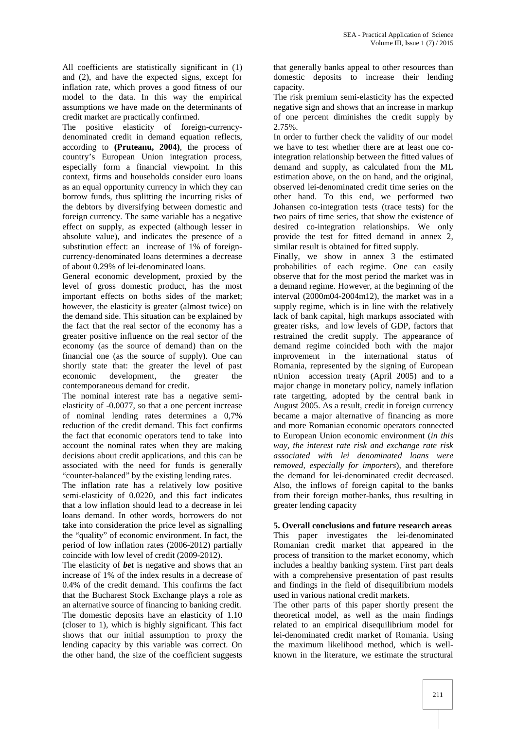All coefficients are statistically significant in (1) and (2), and have the expected signs, except for inflation rate, which proves a good fitness of our model to the data. In this way the empirical assumptions we have made on the determinants of credit market are practically confirmed.

The positive elasticity of foreign-currency denominated credit in demand equation reflects, according to **(Pruteanu, 2004)**, the process of country's European Union integration process, especially form a financial viewpoint. In this context, firms and households consider euro loans as an equal opportunity currency in which they can borrow funds, thus splitting the incurring risks of the debtors by diversifying between domestic and foreign currency. The same variable has a negative effect on supply, as expected (although lesser in absolute value), and indicates the presence of a substitution effect: an increase of 1% of foreign currency-denominated loans determines a decrease of about 0.29% of lei-denominated loans.

General economic development, proxied by the level of gross domestic product, has the most important effects on boths sides of the market; however, the elasticity is greater (almost twice) on the demand side. This situation can be explained by the fact that the real sector of the economy has a greater positive influence on the real sector of the economy (as the source of demand) than on the financial one (as the source of supply). One can shortly state that: the greater the level of past economic development, the greater the contemporaneous demand for credit.

The nominal interest rate has a negative semi elasticity of -0.0077, so that a one percent increase of nominal lending rates determines a 0,7% reduction of the credit demand. This fact confirms the fact that economic operators tend to take into account the nominal rates when they are making decisions about credit applications, and this can be associated with the need for funds is generally "counter-balanced" by the existing lending rates.

The inflation rate has a relatively low positive semi-elasticity of 0.0220, and this fact indicates that a low inflation should lead to a decrease in lei loans demand. In other words, borrowers do not take into consideration the price level as signalling the "quality" of economic environment. In fact, the period of low inflation rates (2006-2012) partially coincide with low level of credit (2009-2012).

The elasticity of *bet* is negative and shows that an increase of 1% of the index results in a decrease of 0.4% of the credit demand. This confirms the fact that the Bucharest Stock Exchange plays a role as an alternative source of financing to banking credit. The domestic deposits have an elasticity of 1.10 (closer to 1), which is highly significant. This fact shows that our initial assumption to proxy the lending capacity by this variable was correct. On the other hand, the size of the coefficient suggests

that generally banks appeal to other resources than domestic deposits to increase their lending capacity.

The risk premium semi-elasticity has the expected negative sign and shows that an increase in markup of one percent diminishes the credit supply by 2.75%.

In order to further check the validity of our model we have to test whether there are at least one cointegration relationship between the fitted values of demand and supply, as calculated from the ML estimation above, on the on hand, and the original, observed lei-denominated credit time series on the other hand. To this end, we performed two Johansen co-integration tests (trace tests) for the two pairs of time series, that show the existence of desired co-integration relationships. We only provide the test for fitted demand in annex 2, similar result is obtained for fitted supply.

Finally, we show in annex 3 the estimated probabilities of each regime. One can easily observe that for the most period the market was in a demand regime. However, at the beginning of the interval (2000m04-2004m12), the market was in a supply regime, which is in line with the relatively lack of bank capital, high markups associated with greater risks, and low levels of GDP, factors that restrained the credit supply. The appearance of demand regime coincided both with the major improvement in the international status of Romania, represented by the signing of European nUnion accession treaty (April 2005) and to a major change in monetary policy, namely inflation rate targetting, adopted by the central bank in August 2005. As a result, credit in foreign currency became a major alternative of financing as more and more Romanian economic operators connected to European Union economic environment (*in this way, the interest rate risk and exchange rate risk associated with lei denominated loans were removed, especially for importers*), and therefore the demand for lei-denominated credit decreased. Also, the inflows of foreign capital to the banks from their foreign mother-banks, thus resulting in greater lending capacity

### **5. Overall conclusions and future research areas**

This paper investigates the lei-denominated Romanian credit market that appeared in the process of transition to the market economy, which includes a healthy banking system. First part deals with a comprehensive presentation of past results and findings in the field of disequilibrium models used in various national credit markets.

The other parts of this paper shortly present the theoretical model, as well as the main findings related to an empirical disequilibrium model for lei-denominated credit market of Romania. Using the maximum likelihood method, which is well known in the literature, we estimate the structural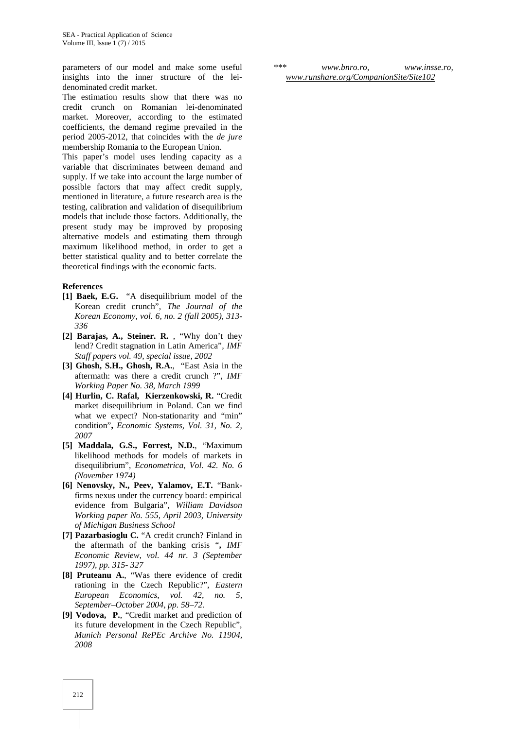parameters of our model and make some useful insights into the inner structure of the lei denominated credit market.

The estimation results show that there was no credit crunch on Romanian lei-denominated market. Moreover, according to the estimated coefficients, the demand regime prevailed in the period 2005-2012, that coincides with the *de jure* membership Romania to the European Union.

This paper's model uses lending capacity as a variable that discriminates between demand and supply. If we take into account the large number of possible factors that may affect credit supply, mentioned in literature, a future research area is the testing, calibration and validation of disequilibrium models that include those factors. Additionally, the present study may be improved by proposing alternative models and estimating them through maximum likelihood method, in order to get a better statistical quality and to better correlate the theoretical findings with the economic facts.

#### **References**

- **[1] Baek, E.G.** "A disequilibrium model of the Korean credit crunch", *The Journal of the Korean Economy, vol. 6, no. 2 (fall 2005), 313- 336*
- **[2] Barajas, A., Steiner. R.** , "Why don't they lend? Credit stagnation in Latin America"*, IMF Staff papers vol. 49, special issue, 2002*
- **[3] Ghosh, S.H., Ghosh, R.A.**, "East Asia in the aftermath: was there a credit crunch ?", *IMF Working Paper No. 38, March 1999*
- **[4] Hurlin, C. Rafal, Kierzenkowski, R.** "Credit market disequilibrium in Poland. Can we find what we expect? Non-stationarity and "min" condition"**,** *Economic Systems, Vol. 31, No. 2, 2007*
- **[5] Maddala, G.S., Forrest, N.D.**, "Maximum likelihood methods for models of markets in disequilibrium", *Econometrica, Vol. 42. No. 6 (November 1974)*
- **[6] Nenovsky, N., Peev, Yalamov, E.T.** "Bankfirms nexus under the currency board: empirical evidence from Bulgaria", *William Davidson Working paper No. 555, April 2003, University of Michigan Business School*
- **[7] Pazarbasioglu C.** "A credit crunch? Finland in the aftermath of the banking crisis "**,** *IMF Economic Review, vol. 44 nr. 3 (September 1997), pp. 315- 327*
- **[8] Pruteanu A.**, "Was there evidence of credit rationing in the Czech Republic?", *Eastern European Economics, vol. 42, no. 5, September–October 2004, pp. 58–72.*
- **[9] Vodova, P.**, "Credit market and prediction of its future development in the Czech Republic", *Munich Personal RePEc Archive No. 11904, 2008*

*\*\*\* www.bnro.ro, www.insse.ro, www.runshare.org/CompanionSite/Site102*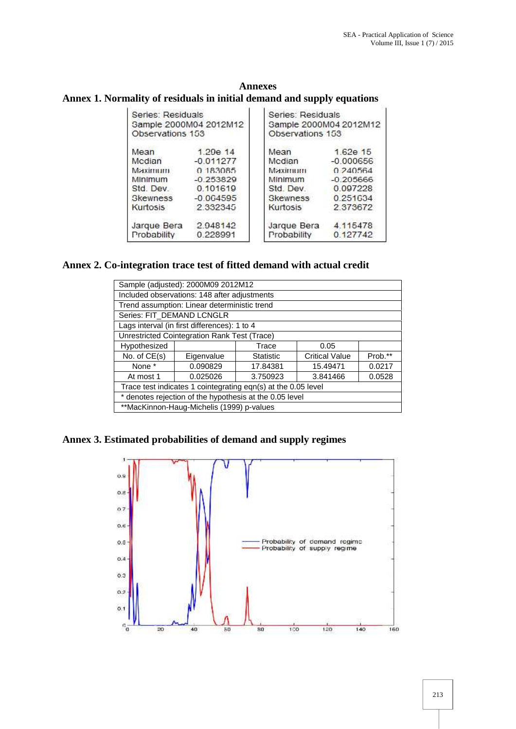| <b>Annexes</b>                                                         |  |
|------------------------------------------------------------------------|--|
| Annex 1. Normality of residuals in initial demand and supply equations |  |

| Series: Residuals<br>Sample 2000M04 2012M12<br>Observations 153 |                         | Series: Residuals<br>Sample 2000M04 2012M12<br>Observations 153 |                         |  |
|-----------------------------------------------------------------|-------------------------|-----------------------------------------------------------------|-------------------------|--|
| Mean<br>Mcdian                                                  | 1.29e 14<br>$-0.011277$ | Mean<br>Mcdian                                                  | 1.62e 15<br>$-0.000656$ |  |
| Махіпшт                                                         | 0 183085                | Махіпшин                                                        | 0.240564                |  |
| Minimum                                                         | $-0.253829$             | Minimum                                                         | $-0.205666$             |  |
| Std. Dev                                                        | 0.101619                | Std Dev                                                         | 0.097228                |  |
| <b>Skewness</b>                                                 | $-0.064595$             | <b>Skewness</b>                                                 | 0.251634                |  |
| Kurtosis                                                        | 2 3 3 2 3 4 5           | <b>Kurtosis</b>                                                 | 2 37 36 72              |  |
| Jarque Bera                                                     | 2.948142                | Jarque Bera                                                     | 4.115478                |  |
| Probability                                                     | 0.228991                | Probability                                                     | 0.127742                |  |

## **Annex 2. Co-integration trace test of fitted demand with actual credit**

|                                              | Sample (adjusted): 2000M09 2012M12           |                                                               |                       |         |
|----------------------------------------------|----------------------------------------------|---------------------------------------------------------------|-----------------------|---------|
|                                              | Included observations: 148 after adjustments |                                                               |                       |         |
|                                              | Trend assumption: Linear deterministic trend |                                                               |                       |         |
| Series: FIT DEMAND LCNGLR                    |                                              |                                                               |                       |         |
|                                              | Lags interval (in first differences): 1 to 4 |                                                               |                       |         |
| Unrestricted Cointegration Rank Test (Trace) |                                              |                                                               |                       |         |
| Hypothesized                                 |                                              | Trace                                                         | 0.05                  |         |
| No. of $CE(s)$                               | Eigenvalue                                   | <b>Statistic</b>                                              | <b>Critical Value</b> | Prob.** |
| None *                                       | 0.090829                                     | 17.84381                                                      | 15.49471              | 0.0217  |
| At most 1                                    | 0.025026                                     | 3.750923                                                      | 3.841466              | 0.0528  |
|                                              |                                              | Trace test indicates 1 cointegrating eqn(s) at the 0.05 level |                       |         |
|                                              |                                              | * denotes rejection of the hypothesis at the 0.05 level       |                       |         |
|                                              | **MacKinnon-Haug-Michelis (1999) p-values    |                                                               |                       |         |

**Annex 3. Estimated probabilities of demand and supply regimes**